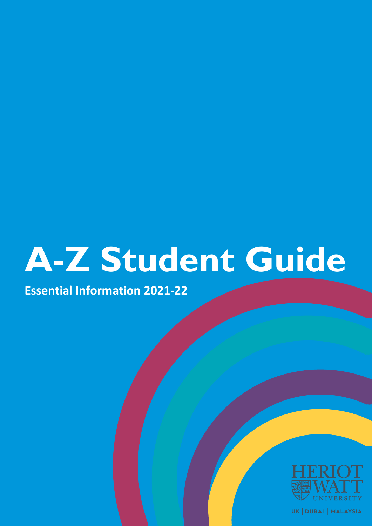# **A-Z Student Guide**

**Essential Information 2021-22**



UK | DUBAI | MALAYSIA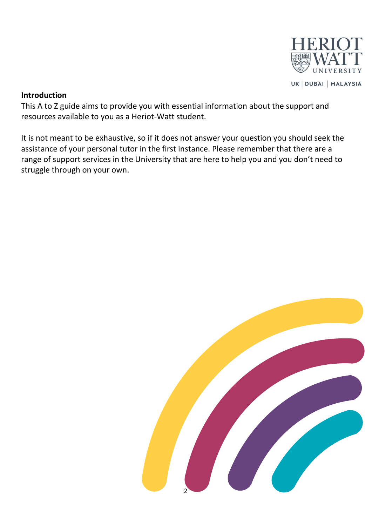

#### **Introduction**

This A to Z guide aims to provide you with essential information about the support and resources available to you as a Heriot-Watt student.

It is not meant to be exhaustive, so if it does not answer your question you should seek the assistance of your personal tutor in the first instance. Please remember that there are a range of support services in the University that are here to help you and you don't need to struggle through on your own.

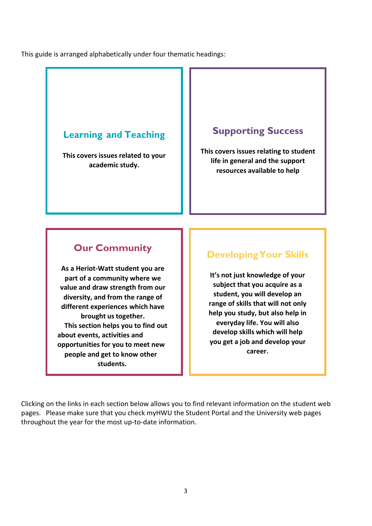This guide is arranged alphabetically under four thematic headings:

## **Learning and Teaching**

**This covers issues related to your academic study.**

## **Supporting Success**

**This covers issues relating to student life in general and the support resources available to help**

## **Our Community**

**As a Heriot-Watt student you are part of a community where we value and draw strength from our diversity, and from the range of different experiences which have brought ustogether. This section helps you to find out about events, activities and opportunities for you to meet new people and get to know other students.**

## **DevelopingYour Skills**

**It's not just knowledge of your subject that you acquire as a student, you will develop an range of skills that will not only help you study, but also help in everyday life. You will also develop skills which will help you get a job and develop your career.**

Clicking on the links in each section below allows you to find relevant information on the student web pages. Please make sure that you check myHWU the Student Portal and the University web pages throughout the year for the most up-to-date information.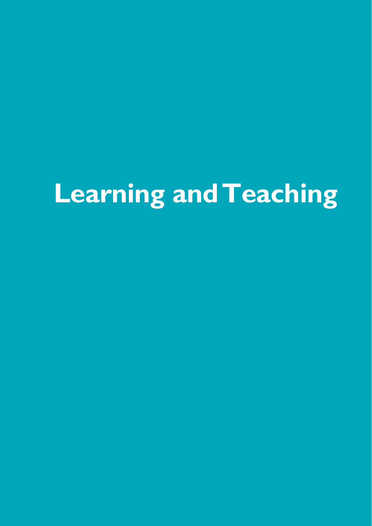## **Learning andTeaching**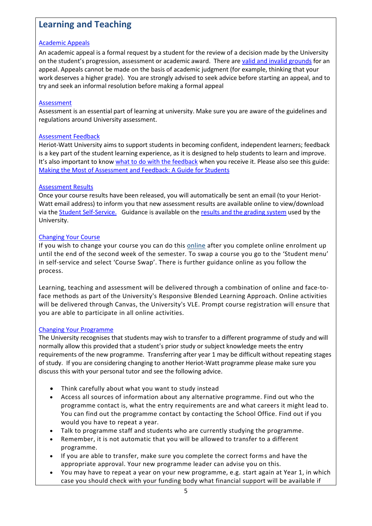## **Learning and Teaching**

#### [Academic Appeals](https://www.hw.ac.uk/students/studies/complaints/student-appeals.htm)

An academic appeal is a formal request by a student for the review of a decision made by the University on the student's progression, assessment or academic award. There are [valid and invalid grounds](https://www.hw.ac.uk/students/doc/appeal-grounds.pdf) for an appeal. Appeals cannot be made on the basis of academic judgment (for example, thinking that your work deserves a higher grade). You are strongly advised to seek advice before starting an appeal, and to try and seek an informal resolution before making a formal appeal

#### [Assessment](https://www.hw.ac.uk/students/studies/examinations.htm)

Assessment is an essential part of learning at university. Make sure you are aware of the guidelines and regulations around University assessment.

#### [Assessment Feedback](https://www.hw.ac.uk/services/docs/learning-teaching/policies/feedbackassessment-universitystatement.pdf)

Heriot-Watt University aims to support students in becoming confident, independent learners; feedback is a key part of the student learning experience, as it is designed to help students to learn and improve. It's also important to know [what to do with the feedback](https://www.hw.ac.uk/students/studies/examinations/reassessment/next-steps-post-results-help.htm) when you receive it. Please also see this guide: [Making the Most of Assessment and Feedback: A Guide for Students](https://lta.hw.ac.uk/wp-content/uploads/08_student-assessment-guide.pdf)

#### [Assessment Results](https://www.hw.ac.uk/uk/students/studies/examinations/results.htm)

Once your course results have been released, you will automatically be sent an email (to your Heriot-Watt email address) to inform you that new assessment results are available online to view/download via the [Student Self-Service.](https://myhwu.hw.ac.uk/HWSAS8/twbkwbis.P_WWWLogin) Guidance is available on the [results and the grading system](https://www.hw.ac.uk/uk/students/studies/examinations/supplementary-information.htm) used by the University.

#### [Changing Your Course](https://www.hw.ac.uk/uk/students/studies/record/change-course-programme.htm)

If you wish to change your course you can do this [online](http://www.hw.ac.uk/selfservice) after you complete online enrolment up until the end of the second week of the semester. To swap a course you go to the 'Student menu' in self-service and select 'Course Swap'. There is further guidance online as you follow the process.

Learning, teaching and assessment will be delivered through a combination of online and face-toface methods as part of the University's Responsive Blended Learning Approach. Online activities will be delivered through Canvas, the University's VLE. Prompt course registration will ensure that you are able to participate in all online activities.

#### [Changing Your Programme](https://www.hw.ac.uk/uk/students/studies/record/change-course-programme.htm)

The University recognises that students may wish to transfer to a different programme of study and will normally allow this provided that a student's prior study or subject knowledge meets the entry requirements of the new programme. Transferring after year 1 may be difficult without repeating stages of study. If you are considering changing to another Heriot-Watt programme please make sure you discuss this with your personal tutor and see the following advice.

- Think carefully about what you want to study instead
- Access all sources of information about any alternative programme. Find out who the programme contact is, what the entry requirements are and what careers it might lead to. You can find out the programme contact by contacting the School Office. Find out if you would you have to repeat a year.
- Talk to programme staff and students who are currently studying the programme.
- Remember, it is not automatic that you will be allowed to transfer to a different programme.
- If you are able to transfer, make sure you complete the correct forms and have the appropriate approval. Your new programme leader can advise you on this.
- You may have to repeat a year on your new programme, e.g. start again at Year 1, in which case you should check with your funding body what financial support will be available if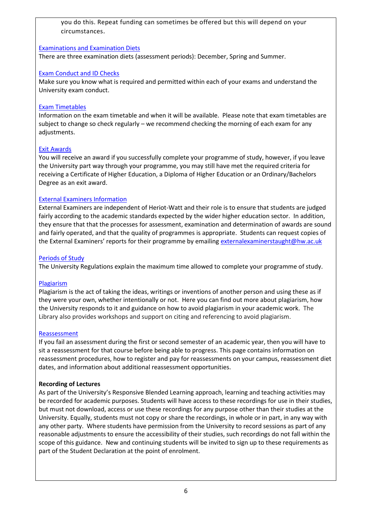you do this. Repeat funding can sometimes be offered but this will depend on your circumstances.

#### [Examinations and Examination Diets](https://www.hw.ac.uk/students/studies/examinations.htm)

There are three examination diets (assessment periods): December, Spring and Summer.

#### [Exam Conduct and ID Checks](https://www.hw.ac.uk/uk/students/studies/examinations/exam-conduct-id-checks.htm)

Make sure you know what is required and permitted within each of your exams and understand the University exam conduct.

#### [Exam Timetables](https://www.hw.ac.uk/students/studies/examinations/timetables.htm)

Information on the exam timetable and when it will be available. Please note that exam timetables are subject to change so check regularly – we recommend checking the morning of each exam for any adjustments.

#### [Exit Awards](https://www.hw.ac.uk/students/studies/record/awards.htm)

You will receive an award if you successfully complete your programme of study, however, if you leave the University part way through your programme, you may still have met the required criteria for receiving a Certificate of Higher Education, a Diploma of Higher Education or an Ordinary/Bachelors Degree as an exit award.

#### [External Examiners Information](https://www.hw.ac.uk/services/academic-registry/quality/qa/external-examiners.htm)

External Examiners are independent of Heriot-Watt and their role is to ensure that students are judged fairly according to the academic standards expected by the wider higher education sector. In addition, they ensure that that the processes for assessment, examination and determination of awards are sound and fairly operated, and that the quality of programmes is appropriate. Students can request copies of the External Examiners' reports for their programme by emailing [externalexaminerstaught@hw.ac.uk](mailto:externalexaminerstaught@hw.ac.uk)

#### [Periods of Study](https://www.hw.ac.uk/documents/regulations.pdf)

The University Regulations explain the maximum time allowed to complete your programme of study.

#### [Plagiarism](https://www.hw.ac.uk/uk/students/studies/examinations/plagiarism.htm)

Plagiarism is the act of taking the ideas, writings or inventions of another person and using these as if they were your own, whether intentionally or not. Here you can find out more about plagiarism, how the University responds to it and guidance on how to avoid plagiarism in your academic work. The Library also provides workshops and support on citing and referencing to avoid plagiarism.

#### [Reassessment](https://www.hw.ac.uk/students/studies/examinations/re-assessment.htm)

If you fail an assessment during the first or second semester of an academic year, then you will have to sit a reassessment for that course before being able to progress. This page contains information on reassessment procedures, how to register and pay for reassessments on your campus, reassessment diet dates, and information about additional reassessment opportunities.

#### **Recording of Lectures**

As part of the University's Responsive Blended Learning approach, learning and teaching activities may be recorded for academic purposes. Students will have access to these recordings for use in their studies, but must not download, access or use these recordings for any purpose other than their studies at the University. Equally, students must not copy or share the recordings, in whole or in part, in any way with any other party. Where students have permission from the University to record sessions as part of any reasonable adjustments to ensure the accessibility of their studies, such recordings do not fall within the scope of this guidance. New and continuing students will be invited to sign up to these requirements as part of the Student Declaration at the point of enrolment.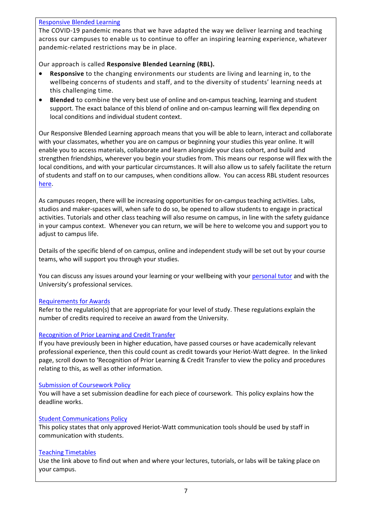#### [Responsive Blended Learning](https://lta.hw.ac.uk/resources/rbl-student-resources/)

The COVID-19 pandemic means that we have adapted the way we deliver learning and teaching across our campuses to enable us to continue to offer an inspiring learning experience, whatever pandemic-related restrictions may be in place.

#### Our approach is called **Responsive Blended Learning (RBL).**

- **Responsive** to the changing environments our students are living and learning in, to the wellbeing concerns of students and staff, and to the diversity of students' learning needs at this challenging time.
- **Blended** to combine the very best use of online and on-campus teaching, learning and student support. The exact balance of this blend of online and on-campus learning will flex depending on local conditions and individual student context.

Our Responsive Blended Learning approach means that you will be able to learn, interact and collaborate with your classmates, whether you are on campus or beginning your studies this year online. It will enable you to access materials, collaborate and learn alongside your class cohort, and build and strengthen friendships, wherever you begin your studies from. This means our response will flex with the local conditions, and with your particular circumstances. It will also allow us to safely facilitate the return of students and staff on to our campuses, when conditions allow. You can access RBL student resources [here.](https://lta.hw.ac.uk/resources/rbl-student-resources/)

As campuses reopen, there will be increasing opportunities for on-campus teaching activities. Labs, studios and maker-spaces will, when safe to do so, be opened to allow students to engage in practical activities. Tutorials and other class teaching will also resume on campus, in line with the safety guidance in your campus context. Whenever you can return, we will be here to welcome you and support you to adjust to campus life.

Details of the specific blend of on campus, online and independent study will be set out by your course teams, who will support you through your studies.

You can discuss any issues around your learning or your wellbeing with your [personal tutor](https://www.hw.ac.uk/uk/students/studies/personal-tutors.htm) and with the University's professional services.

#### [Requirements for Awards](https://www.hw.ac.uk/documents/regulations.pdf)

Refer to the regulation(s) that are appropriate for your level of study. These regulations explain the number of credits required to receive an award from the University.

#### [Recognition of Prior Learning and Credit Transfer](https://www.hw.ac.uk/uk/services/academic-registry/quality/learning-teaching/learning-and-teaching-policies.htm#R)

If you have previously been in higher education, have passed courses or have academically relevant professional experience, then this could count as credit towards your Heriot-Watt degree. In the linked page, scroll down to 'Recognition of Prior Learning & Credit Transfer to view the [policy](https://www.hw.ac.uk/services/docs/learning-teaching/policies/rplpolicy.pdf) and [procedures](https://www.hw.ac.uk/services/docs/learning-teaching/policies/rplprocedures.pdf) relating to this, as well as other information.

#### [Submission of Coursework Policy](https://www.hw.ac.uk/services/docs/learning-teaching/policies/submissionofcoursework-policy.pdf)

You will have a set submission deadline for each piece of coursework. This policy explains how the deadline works.

#### [Student Communications Policy](https://www.hw.ac.uk/uk/services/docs/learning-teaching/policies/Use_of_Approved_Channels_when_communicating_with_students.pdf)

This policy states that only approved Heriot-Watt communication tools should be used by staff in communication with students.

#### [Teaching Timetables](https://www.hw.ac.uk/students/studies/timetables.htm)

Use the link above to find out when and where your lectures, tutorials, or labs will be taking place on your campus.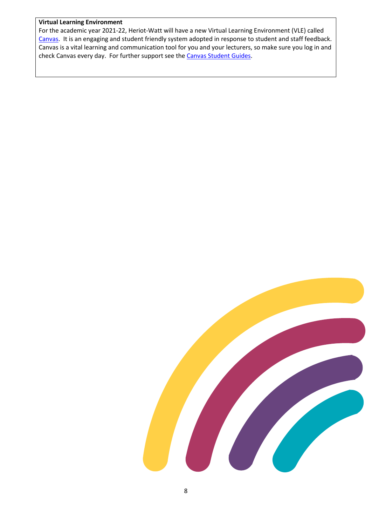#### **Virtual Learning Environment**

For the academic year 2021-22, Heriot-Watt will have a new Virtual Learning Environment (VLE) called [Canvas.](https://heriotwatt.sharepoint.com/sites/canvashub) It is an engaging and student friendly system adopted in response to student and staff feedback. Canvas is a vital learning and communication tool for you and your lecturers, so make sure you log in and check Canvas every day. For further support see the [Canvas Student Guides.](https://community.canvaslms.com/t5/Student-Guide/tkb-p/student)

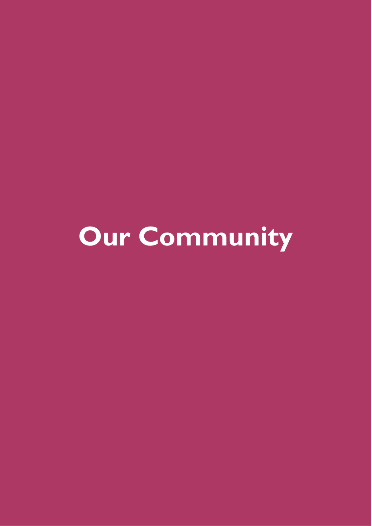**Our Community**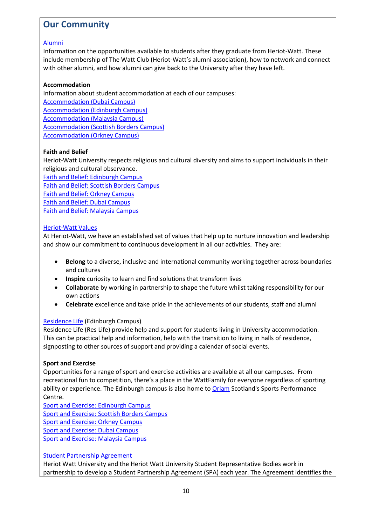## **Our Community**

#### [Alumni](https://www.hw.ac.uk/alumni.htm)

Information on the opportunities available to students after they graduate from Heriot-Watt. These include membership of The Watt Club (Heriot-Watt's alumni association), how to network and connect with other alumni, and how alumni can give back to the University after they have left.

#### **Accommodation**

Information about student accommodation at each of our campuses: [Accommodation \(Dubai Campus\)](https://www.hw.ac.uk/dubai/accommodation.htm)  [Accommodation \(Edinburgh Campus\)](https://www.hw.ac.uk/uk/edinburgh/accommodation.htm) [Accommodation \(Malaysia Campus\)](https://www.hw.ac.uk/malaysia/accommodation.htm) [Accommodation \(Scottish Borders Campus\)](https://www.hw.ac.uk/uk/borders/accommodation.htm) [Accommodation \(Orkney Campus\)](https://www.hw.ac.uk/uk/orkney/accommodation.htm)

#### **Faith and Belief**

Heriot-Watt University respects religious and cultural diversity and aims to support individuals in their religious and cultural observance.

[Faith and Belief: Edinburgh Campus](https://www.hw.ac.uk/students/health-wellbeing/edinburgh/faith/chaplaincy.htm) [Faith and Belief: Scottish Borders Campus](https://www.hw.ac.uk/students/health-wellbeing/borders/faith-and-belief.htm) [Faith and Belief: Orkney Campus](https://www.hw.ac.uk/students/health-wellbeing/orkney/faith-and-belief.htm) [Faith and Belief: Dubai Campus](https://www.hw.ac.uk/students/health-wellbeing/dubai/faith-and-belief.htm) [Faith and Belief: Malaysia Campus](https://www.hw.ac.uk/students/health-wellbeing/malaysia/faith-and-belief.htm)

#### [Heriot-Watt Values](https://strategy2025.hw.ac.uk/our-new-values/)

At Heriot-Watt, we have an established set of values that help up to nurture innovation and leadership and show our commitment to continuous development in all our activities. They are:

- **Belong** to a diverse, inclusive and international community working together across boundaries and cultures
- **Inspire** curiosity to learn and find solutions that transform lives
- **Collaborate** by working in partnership to shape the future whilst taking responsibility for our own actions
- **Celebrate** excellence and take pride in the achievements of our students, staff and alumni

#### [Residence Life](https://www.hw.ac.uk/uk/edinburgh/accommodation/residence-life.htm) (Edinburgh Campus)

Residence Life (Res Life) provide help and support for students living in University accommodation. This can be practical help and information, help with the transition to living in halls of residence, signposting to other sources of support and providing a calendar of social events.

#### **Sport and Exercise**

Opportunities for a range of sport and exercise activities are available at all our campuses. From recreational fun to competition, there's a place in the WattFamily for everyone regardless of sporting ability or experience. The Edinburgh campus is also home to [Oriam](https://oriamscotland.com/) Scotland's Sports Performance Centre.

[Sport and Exercise: Edinburgh Campus](https://www.hw.ac.uk/uk/edinburgh/sports.htm) [Sport and Exercise: Scottish Borders Campus](https://www.hw.ac.uk/uk/borders/clubs-activities.htm) [Sport and Exercise: Orkney Campus](https://www.hw.ac.uk/uk/orkney/clubs-activities.htm)  [Sport and Exercise: Dubai Campus](https://www.hw.ac.uk/dubai/clubs-activities.htm) [Sport and Exercise: Malaysia Campus](https://www.hw.ac.uk/malaysia/clubs-activities.htm)

#### [Student Partnership Agreement](https://www.hw.ac.uk/uk/services/academic-registry/quality/student-learning/student-partnership-agreement.htm)

Heriot Watt University and the Heriot Watt University Student Representative Bodies work in partnership to develop a Student Partnership Agreement (SPA) each year. The Agreement identifies the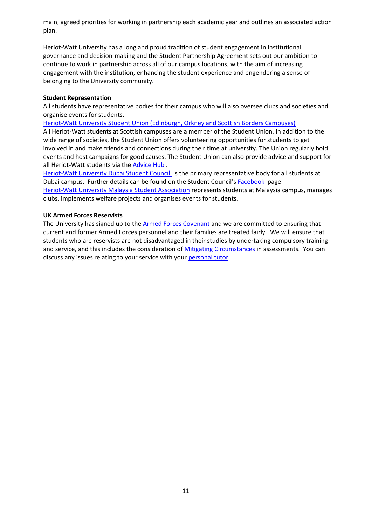main, agreed priorities for working in partnership each academic year and outlines an associated action plan.

Heriot-Watt University has a long and proud tradition of student engagement in institutional governance and decision-making and the Student Partnership Agreement sets out our ambition to continue to work in partnership across all of our campus locations, with the aim of increasing engagement with the institution, enhancing the student experience and engendering a sense of belonging to the University community.

#### **Student Representation**

All students have representative bodies for their campus who will also oversee clubs and societies and organise events for students.

[Heriot-Watt University Student Union \(Edinburgh, Orkney and Scottish Borders Campuses\)](https://www.hwunion.com/) All Heriot-Watt students at Scottish campuses are a member of the Student Union. In addition to the wide range of societies, the Student Union offers volunteering opportunities for students to get involved in and make friends and connections during their time at university. The Union regularly hold

events and host campaigns for good causes. The Student Union can also provide advice and support for all Heriot-Watt students via th[e Advice Hub](https://www.hwunion.com/advice-hub/) .

[Heriot-Watt University Dubai Student Council](https://www.hw.ac.uk/dubai/clubs-activities.htm) is the primary representative body for all students at Dubai campus. Further details can be found on the Student Council's [Facebook](https://www.facebook.com/HWUDCouncil/) page [Heriot-Watt University Malaysia Student Association](https://www.hwumsa.com/) represents students at Malaysia campus, manages clubs, implements welfare projects and organises events for students.

#### **UK Armed Forces Reservists**

The University has signed up to th[e Armed Forces Covenant](https://www.armedforcescovenant.gov.uk/) and we are committed to ensuring that current and former Armed Forces personnel and their families are treated fairly. We will ensure that students who are reservists are not disadvantaged in their studies by undertaking compulsory training and service, and this includes the consideration of [Mitigating Circumstances](https://www.hw.ac.uk/uk/students/studies/examinations/mitigating-circumstances.htm) in assessments. You can discuss any issues relating to your service with you[r personal tutor.](https://www.hw.ac.uk/uk/students/studies/personal-tutors.htm)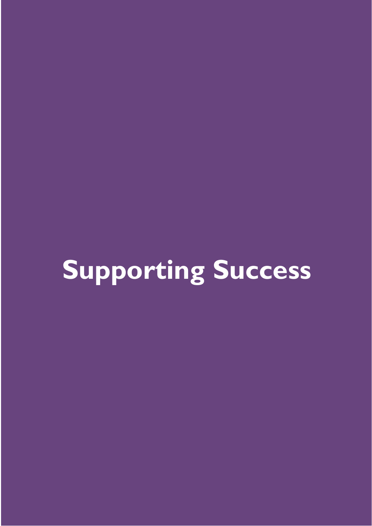## **Supporting Success**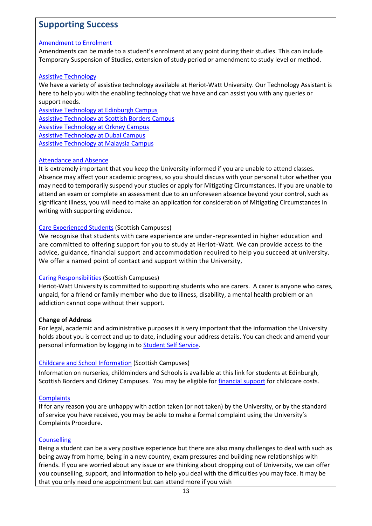## **Supporting Success**

#### [Amendment to Enrolment](https://www.hw.ac.uk/students/studies/record/amending-your-enrolment.htm)

Amendments can be made to a student's enrolment at any point during their studies. This can include Temporary Suspension of Studies, extension of study period or amendment to study level or method.

#### [Assistive Technology](https://www.hw.ac.uk/students/health-wellbeing/edinburgh/disability/assistive-technology.htm)

We have a variety of assistive technology available at Heriot-Watt University. Our Technology Assistant is here to help you with the enabling technology that we have and can assist you with any queries or support needs.

[Assistive Technology at Edinburgh Campus](https://www.hw.ac.uk/students/health-wellbeing/edinburgh/disability/assistive-technology.htm)  [Assistive Technology at Scottish Borders Campus](https://www.hw.ac.uk/students/health-wellbeing/borders/disability/assistive-technology.htm) [Assistive Technology at Orkney Campus](https://www.hw.ac.uk/students/health-wellbeing/orkney/disability/assistive-technology.htm)  [Assistive Technology at Dubai Campus](https://www.hw.ac.uk/students/health-wellbeing/dubai/determination/assistive-technology.htm) [Assistive Technology at Malaysia Campus](https://www.hw.ac.uk/uk/students/health-wellbeing/malaysia/disability/assistive-technology.htm)

#### [Attendance and Absence](https://www.hw.ac.uk/students/studies/record/attendance.htm)

It is extremely important that you keep the University informed if you are unable to attend classes. Absence may affect your academic progress, so you should discuss with your personal tutor whether you may need to temporarily suspend your studies or apply for Mitigating Circumstances. If you are unable to attend an exam or complete an assessment due to an unforeseen absence beyond your control, such as significant illness, you will need to make an application for consideration of Mitigating Circumstances in writing with supporting evidence.

#### [Care Experienced Students](https://www.hw.ac.uk/uk/student-support/care-leavers.htm) (Scottish Campuses)

We recognise that students with care experience are under-represented in higher education and are committed to offering support for you to study at Heriot-Watt. We can provide access to the advice, guidance, financial support and accommodation required to help you succeed at university. We offer a named point of contact and support within the University,

#### [Caring Responsibilities](https://www.hw.ac.uk/uk/student-support/individuals-with-care-responsibilities.htm) (Scottish Campuses)

Heriot-Watt University is committed to supporting students who are carers. A carer is anyone who cares, unpaid, for a friend or family member who due to illness, disability, a mental health problem or an addiction cannot cope without their support.

#### **Change of Address**

For legal, academic and administrative purposes it is very important that the information the University holds about you is correct and up to date, including your address details. You can check and amend your personal information by logging in t[o Student Self Service.](https://myhwu.hw.ac.uk/HWSAS8/twbkwbis.P_WWWLogin)

#### [Childcare and School Information](https://www.hw.ac.uk/uk/students/international/uk/living/childcare-school-information.htm) (Scottish Campuses)

Information on nurseries, childminders and Schools is available at this link for students at Edinburgh, Scottish Borders and Orkney Campuses. You may be eligible fo[r financial support](https://www.hw.ac.uk/study/fees/financial-support.htm) for childcare costs.

#### **[Complaints](https://www.hw.ac.uk/students/studies/complaints/complaints.htm)**

If for any reason you are unhappy with action taken (or not taken) by the University, or by the standard of service you have received, you may be able to make a formal complaint using the University's Complaints Procedure.

#### **[Counselling](https://www.hw.ac.uk/students/health-wellbeing/edinburgh/counselling.htm)**

Being a student can be a very positive experience but there are also many challenges to deal with such as being away from home, being in a new country, exam pressures and building new relationships with friends. If you are worried about any issue or are thinking about dropping out of University, we can offer you counselling, support, and information to help you deal with the difficulties you may face. It may be that you only need one appointment but can attend more if you wish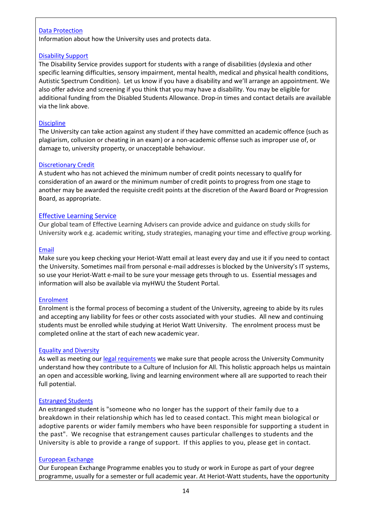#### [Data Protection](https://www.hw.ac.uk/about/policies/data-protection.htm)

Information about how the University uses and protects data.

#### [Disability Support](https://www.hw.ac.uk/students/health-wellbeing/edinburgh/disability.htm)

The Disability Service provides support for students with a range of disabilities (dyslexia and other specific learning difficulties, sensory impairment, mental health, medical and physical health conditions, Autistic Spectrum Condition). Let us know if you have a disability and we'll arrange an appointment. We also offer advice and screening if you think that you may have a disability. You may be eligible for additional funding from the Disabled Students Allowance. Drop-in times and contact details are available via the link above.

#### **[Discipline](https://www.hw.ac.uk/students/studies/record/discipline.htm)**

The University can take action against any student if they have committed an academic offence (such as plagiarism, collusion or cheating in an exam) or a non-academic offense such as improper use of, or damage to, university property, or unacceptable behaviour.

#### [Discretionary Credit](https://www.hw.ac.uk/uk/services/docs/academic-registry/examdoc3.pdf)

A student who has not achieved the minimum number of credit points necessary to qualify for consideration of an award or the minimum number of credit points to progress from one stage to another may be awarded the requisite credit points at the discretion of the Award Board or Progression Board, as appropriate.

#### [Effective Learning Service](https://heriotwatt.sharepoint.com/sites/skillshub)

Our global team of Effective Learning Advisers can provide advice and guidance on study skills for University work e.g. academic writing, study strategies, managing your time and effective group working.

#### [Email](https://www.hw.ac.uk/services/is/it-essentials/email.htm)

Make sure you keep checking your Heriot-Watt email at least every day and use it if you need to contact the University. Sometimes mail from personal e-mail addresses is blocked by the University's IT systems, so use your Heriot-Watt e-mail to be sure your message gets through to us. Essential messages and information will also be available via myHWU the Student Portal.

#### [Enrolment](https://www.hw.ac.uk/students/studies/enrolment.htm)

Enrolment is the formal process of becoming a student of the University, agreeing to abide by its rules and accepting any liability for fees or other costs associated with your studies. All new and continuing students must be enrolled while studying at Heriot Watt University. The enrolment process must be completed online at the start of each new academic year.

#### [Equality and Diversity](https://www.hw.ac.uk/services/equality-diversity.htm)

As well as meeting ou[r legal requirements](https://www.hw.ac.uk/services/equality-diversity/legal-requirements.htm) we make sure that people across the University Community understand how they contribute to a Culture of Inclusion for All. This holistic approach helps us maintain an open and accessible working, living and learning environment where all are supported to reach their full potential.

#### [Estranged Students](https://www.hw.ac.uk/uk/student-support/estranged-students.htm#:~:text=If%20you%20are%20estranged%2C%20you,year%20of%20their%20undergraduate%20studies.)

An estranged student is "someone who no longer has the support of their family due to a breakdown in their relationship which has led to ceased contact. This might mean biological or adoptive parents or wider family members who have been responsible for supporting a student in the past". We recognise that estrangement causes particular challenges to students and the University is able to provide a range of support. If this applies to you, please get in contact.

#### [European](https://www.hw.ac.uk/students/studies/goglobal/erasmus.htm) Exchange

Our European Exchange Programme enables you to study or work in Europe as part of your degree programme, usually for a semester or full academic year. At Heriot-Watt students, have the opportunity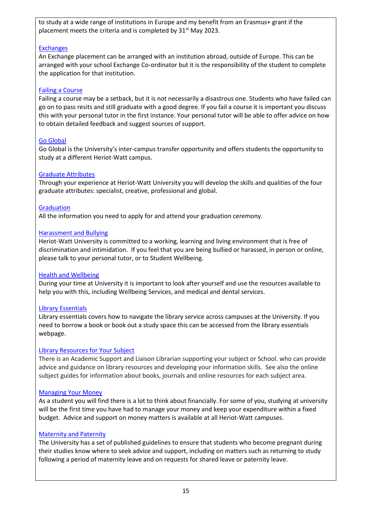to study at a wide range of institutions in Europe and my benefit from an Erasmus+ grant if the placement meets the criteria and is completed by 31<sup>st</sup> May 2023.

#### [Exchanges](https://www.hw.ac.uk/uk/students/studies/goglobal/exchange.htm)

An Exchange placement can be arranged with an institution abroad, outside of Europe. This can be arranged with your school Exchange Co-ordinator but it is the responsibility of the student to complete the application for that institution.

#### [Failing a Course](https://www.hw.ac.uk/students/studies/examinations/reassessment/what-if-i-fail-.htm)

Failing a course may be a setback, but it is not necessarily a disastrous one. Students who have failed can go on to pass resits and still graduate with a good degree. If you fail a course it is important you discuss this with your personal tutor in the first instance. Your personal tutor will be able to offer advice on how to obtain detailed feedback and suggest sources of support.

#### [Go Global](https://www.hw.ac.uk/students/studies/go-global.htm)

Go Global is the University's inter-campus transfer opportunity and offers students the opportunity to study at a different Heriot-Watt campus.

#### [Graduate Attributes](https://www.hw.ac.uk/services/academic-registry/quality/learning-teaching/graduate-attributes.htm)

Through your experience at Heriot-Watt University you will develop the skills and qualities of the four graduate attributes: specialist, creative, professional and global.

#### **[Graduation](https://www.hw.ac.uk/students/studies/graduation.htm)**

All the information you need to apply for and attend your graduation ceremony.

#### [Harassment and Bullying](https://www.hw.ac.uk/documents/anti-harassment-YogrJUJbRtp3uUxEMtY58r5ceYTT3X7mbDhS7-Aud-s.pdf)

Heriot-Watt University is committed to a working, learning and living environment that is free of discrimination and intimidation. If you feel that you are being bullied or harassed, in person or online, please talk to your personal tutor, or to Student Wellbeing.

#### [Health and Wellbeing](https://www.hw.ac.uk/students/health-wellbeing.htm)

During your time at University it is important to look after yourself and use the resources available to help you with this, including Wellbeing Services, and medical and dental services.

#### [Library Essentials](https://www.hw.ac.uk/services/is/library-essentials.htm)

Library essentials covers how to navigate the library service across campuses at the University. If you need to borrow a book or book out a study space this can be accessed from the library essentials webpage.

#### [Library Resources for Your Subject](https://isguides.hw.ac.uk/)

There is an Academic Support and Liaison Librarian supporting your subject or School. who can provide advice and guidance on library resources and developing your information skills. See also the online subject guides for information about books, journals and online resources for each subject area.

#### [Managing Your Money](https://www.hw.ac.uk/students/your-money.htm)

As a student you will find there is a lot to think about financially. For some of you, studying at university will be the first time you have had to manage your money and keep your expenditure within a fixed budget. Advice and support on money matters is available at all Heriot-Watt campuses.

#### [Maternity and Paternity](https://www.hw.ac.uk/uk/students/health-wellbeing/edinburgh/support-for-students-who-are-pregnant.htm)

The University has a set of published guidelines to ensure that students who become pregnant during their studies know where to seek advice and support, including on matters such as returning to study following a period of maternity leave and on requests for shared leave or paternity leave.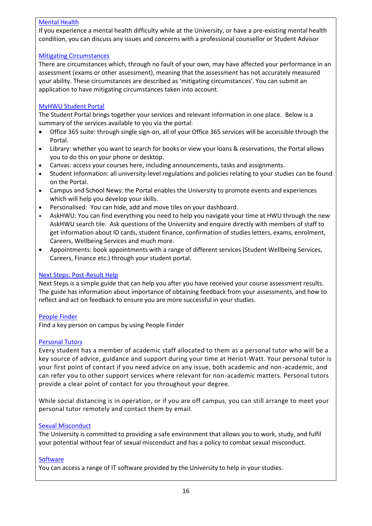#### [Mental Health](https://www.hw.ac.uk/students/health-wellbeing/edinburgh/disability/support/mental-health-problems.htm)

If you experience a mental health difficulty while at the University, or have a pre-existing mental health condition, you can discuss any issues and concerns with a professional counsellor or Student Advisor

#### [Mitigating Circumstances](https://www.hw.ac.uk/uk/students/studies/examinations/mitigating-circumstances.htm)

There are circumstances which, through no fault of your own, may have affected your performance in an assessment (exams or other assessment), meaning that the assessment has not accurately measured your ability. These circumstances are described as 'mitigating circumstances'. You can submit an application to have mitigating circumstances taken into account.

#### [MyHWU Student Portal](https://portal.hw.ac.uk/)

The Student Portal brings together your services and relevant information in one place. Below is a summary of the services available to you via the portal:

- Office 365 suite: through single sign-on, all of your Office 365 services will be accessible through the Portal.
- Library: whether you want to search for books or view your loans & reservations, the Portal allows you to do this on your phone or desktop.
- Canvas: access your courses here, including announcements, tasks and assignments.
- Student Information: all university-level regulations and policies relating to your studies can be found on the Portal.
- Campus and School News: the Portal enables the University to promote events and experiences which will help you develop your skills.
- Personalised: You can hide, add and move tiles on your dashboard.
- AskHWU: You can find everything you need to help you navigate your time at HWU through the new AskHWU search tile. Ask questions of the University and enquire directly with members of staff to get information about ID cards, student finance, confirmation of studies letters, exams, enrolment, Careers, Wellbeing Services and much more.
- Appointments: book appointments with a range of different services (Student Wellbeing Services, Careers, Finance etc.) through your student portal.

#### [Next Steps: Post-Result Help](https://www.hw.ac.uk/students/studies/examinations/reassessment/next-steps-post-results-help.htm)

Next Steps is a simple guide that can help you after you have received your course assessment results. The guide has information about importance of obtaining feedback from your assessments, and how to reflect and act on feedback to ensure you are more successful in your studies.

#### [People Finder](https://www.hw.ac.uk/uk/about/contact/people-finder.htm)

Find a key person on campus by using People Finder

#### [Personal Tutors](https://www.hw.ac.uk/uk/students/studies/personal-tutors.htm)

Every student has a member of academic staff allocated to them as a personal tutor who will be a key source of advice, guidance and support during your time at Heriot-Watt. Your personal tutor is your first point of contact if you need advice on any issue, both academic and non-academic, and can refer you to other support services where relevant for non-academic matters. Personal tutors provide a clear point of contact for you throughout your degree.

While social distancing is in operation, or if you are off campus, you can still arrange to meet your personal tutor remotely and contact them by email.

#### [Sexual Misconduct](https://www.hw.ac.uk/students/health-wellbeing/edinburgh/counselling/problems/sexual-misconduct.htm)

The University is committed to providing a safe environment that allows you to work, study, and fulfil your potential without fear of sexual misconduct and has a policy to combat sexual misconduct.

#### **[Software](https://www.hw.ac.uk/uk/services/is/it-essentials/software.htm)**

You can access a range of IT software provided by the University to help in your studies.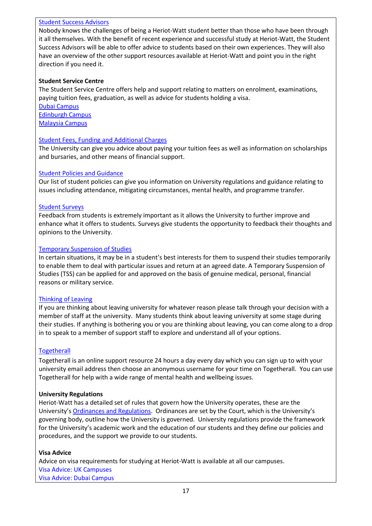#### [Student Success Advisors](https://www.hw.ac.uk/students/health-wellbeing/edinburgh/student-success-advice.htm)

Nobody knows the challenges of being a Heriot-Watt student better than those who have been through it all themselves. With the benefit of recent experience and successful study at Heriot-Watt, the Student Success Advisors will be able to offer advice to students based on their own experiences. They will also have an overview of the other support resources available at Heriot-Watt and point you in the right direction if you need it.

#### **Student Service Centre**

The Student Service Centre offers help and support relating to matters on enrolment, examinations, paying tuition fees, graduation, as well as advice for students holding a visa.

[Dubai Campus](https://www.hw.ac.uk/dubai/campus/student-service-centre.htm) [Edinburgh Campus](https://www.hw.ac.uk/services/student-service-centre.htm) [Malaysia Campus](https://www.hw.ac.uk/malaysia/student-services.htm)

#### [Student Fees, Funding and Additional Charges](https://www.hw.ac.uk/study/fees-funding.htm)

The University can give you advice about paying your tuition fees as well as information on scholarships and bursaries, and other means of financial support.

#### [Student Policies and Guidance](https://www.hw.ac.uk/students/student-policies.htm)

Our list of student policies can give you information on University regulations and guidance relating to issues including attendance, mitigating circumstances, mental health, and programme transfer.

#### [Student Surveys](https://heriotwatt.sharepoint.com/sites/registry-academicenhancement/SitePages/lt-student-surveys.aspx)

Feedback from students is extremely important as it allows the University to further improve and enhance what it offers to students. Surveys give students the opportunity to feedback their thoughts and opinions to the University.

#### [Temporary Suspension of Studies](https://www.hw.ac.uk/students/studies/leaving/temporary-suspension-studies.htm)

In certain situations, it may be in a student's best interests for them to suspend their studies temporarily to enable them to deal with particular issues and return at an agreed date. A Temporary Suspension of Studies (TSS) can be applied for and approved on the basis of genuine medical, personal, financial reasons or military service.

#### [Thinking of Leaving](https://www.hw.ac.uk/students/studies/leaving.htm)

If you are thinking about leaving university for whatever reason please talk through your decision with a member of staff at the university. Many students think about leaving university at some stage during their studies. If anything is bothering you or you are thinking about leaving, you can come along to a drop in to speak to a member of support staff to explore and understand all of your options.

#### **[Togetherall](https://www.hw.ac.uk/uk/students/health-wellbeing/edinburgh/big-white-wall.htm)**

Togetherall is an online support resource 24 hours a day every day which you can sign up to with your university email address then choose an anonymous username for your time on Togetherall. You can use Togetherall for help with a wide range of mental health and wellbeing issues.

#### **University Regulations**

Heriot-Watt has a detailed set of rules that govern how the University operates, these are the University's [Ordinances and Regulations](https://www.hw.ac.uk/uk/about/profile/governance/ordinances-regulations.htm). Ordinances are set by the Court, which is the University's governing body, outline how the University is governed. University regulations provide the framework for the University's academic work and the education of our students and they define our policies and procedures, and the support we provide to our students.

#### **Visa Advice**

Advice on visa requirements for studying at Heriot-Watt is available at all our campuses. [Visa Advice: UK Campuses](https://www.hw.ac.uk/students/international/uk/visas-immigration.htm) [Visa Advice: Dubai Campus](https://www.hw.ac.uk/study/apply/dubai/visa-requirements.htm)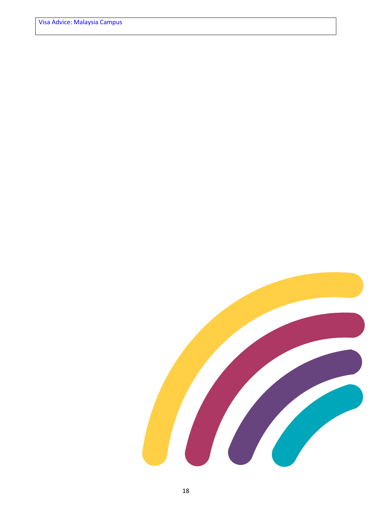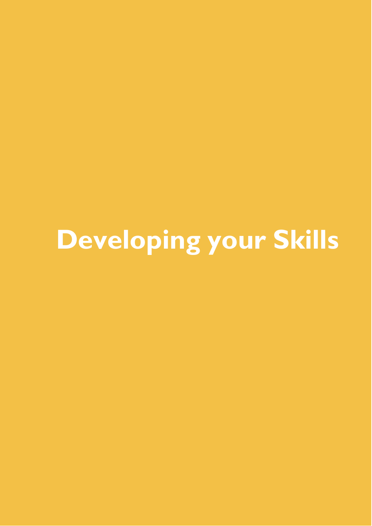## **Developing your Skills**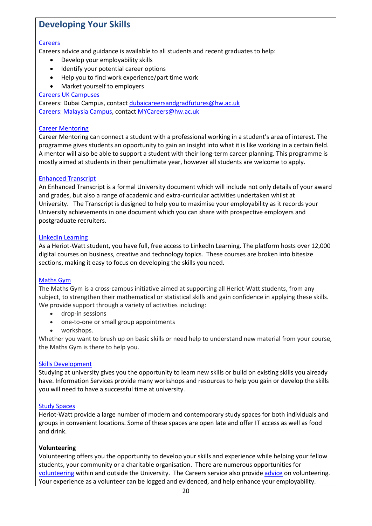## **Developing Your Skills**

#### **[Careers](https://www.hw.ac.uk/study/why/careers-advisory-service.htm)**

Careers advice and guidance is available to all students and recent graduates to help:

- Develop your employability skills
- Identify your potential career options
- Help you to find work experience/part time work
- Market yourself to employers

#### [Careers UK Campuses](https://www.hw.ac.uk/uk/students/careers.htm)

Careers: Dubai Campus, contact [dubaicareersandgradfutures@hw.ac.uk](mailto:dubaicareersandgradfutures@hw.ac.uk) [Careers: Malaysia Campus,](mailto:Careers:%20Malaysia%20Campus) contac[t MYCareers@hw.ac.uk](mailto:MYCareers@hw.ac.uk)

#### [Career Mentoring](https://www.hw.ac.uk/students/careers/uk/develop/career-mentoring-programme.htm)

Career Mentoring can connect a student with a professional working in a student's area of interest. The programme gives students an opportunity to gain an insight into what it is like working in a certain field. A mentor will also be able to support a student with their long-term career planning. This programme is mostly aimed at students in their penultimate year, however all students are welcome to apply.

#### [Enhanced Transcript](https://www.hw.ac.uk/students/studies/graduation/enhanced-transcript.htm)

An Enhanced Transcript is a formal University document which will include not only details of your award and grades, but also a range of academic and extra-curricular activities undertaken whilst at University. The Transcript is designed to help you to maximise your employability as it records your University achievements in one document which you can share with prospective employers and postgraduate recruiters.

#### [LinkedIn Learning](https://www.linkedin.com/learning-login/continue?forceAccount=false&authModeName=learning-SAML&authUUID=O4q5t9zzQCa7v3UuD%2F2NDw%3D%3D&redirect=https%3A%2F%2Fwww.linkedin.com%2Flearning%2F)

As a Heriot-Watt student, you have full, free access to LinkedIn Learning. The platform hosts over 12,000 digital courses on business, creative and technology topics. These courses are broken into bitesize sections, making it easy to focus on developing the skills you need.

#### [Maths Gym](https://mathsgym.hw.ac.uk/)

The Maths Gym is a cross-campus initiative aimed at supporting all Heriot-Watt students, from any subject, to strengthen their mathematical or statistical skills and gain confidence in applying these skills. We provide support through a variety of activities including:

- drop-in sessions
- one-to-one or small group appointments
- workshops.

Whether you want to brush up on basic skills or need help to understand new material from your course, the Maths Gym is there to help you.

#### [Skills Development](https://heriotwatt.sharepoint.com/sites/skillshub)

Studying at university gives you the opportunity to learn new skills or build on existing skills you already have. Information Services provide many workshops and resources to help you gain or develop the skills you will need to have a successful time at university.

#### [Study Spaces](https://www.hw.ac.uk/uk/services/is/library-essentials/study-spaces.htm)

Heriot-Watt provide a large number of modern and contemporary study spaces for both individuals and groups in convenient locations. Some of these spaces are open late and offer IT access as well as food and drink.

#### **Volunteering**

Volunteering offers you the opportunity to develop your skills and experience while helping your fellow students, your community or a charitable organisation. There are numerous opportunities for [volunteering](https://www.hwunion.com/volunteer/) within and outside the University. The Careers service also provide [advice](https://www.hw.ac.uk/students/careers/uk/jobs/volunteering.htm) on volunteering. Your experience as a volunteer can be logged and evidenced, and help enhance your employability.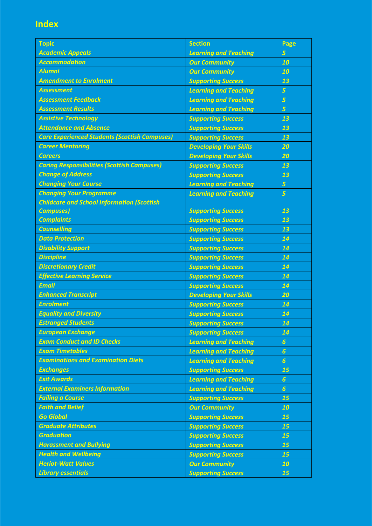## **Index**

| <b>Topic</b>                                         | <b>Section</b>                | Page             |
|------------------------------------------------------|-------------------------------|------------------|
| <b>Academic Appeals</b>                              | <b>Learning and Teaching</b>  | 5                |
| <b>Accommodation</b>                                 | <b>Our Community</b>          | 10               |
| <b>Alumni</b>                                        | <b>Our Community</b>          | 10               |
| <b>Amendment to Enrolment</b>                        | <b>Supporting Success</b>     | 13               |
| <b>Assessment</b>                                    | <b>Learning and Teaching</b>  | 5                |
| <b>Assessment Feedback</b>                           | <b>Learning and Teaching</b>  | 5                |
| <b>Assessment Results</b>                            | <b>Learning and Teaching</b>  | 5                |
| <b>Assistive Technology</b>                          | <b>Supporting Success</b>     | 13               |
| <b>Attendance and Absence</b>                        | <b>Supporting Success</b>     | 13               |
| <b>Care Experienced Students (Scottish Campuses)</b> | <b>Supporting Success</b>     | 13               |
| <b>Career Mentoring</b>                              | <b>Developing Your Skills</b> | 20               |
| <b>Careers</b>                                       | <b>Developing Your Skills</b> | 20               |
| <b>Caring Responsibilities (Scottish Campuses)</b>   | <b>Supporting Success</b>     | 13               |
| <b>Change of Address</b>                             | <b>Supporting Success</b>     | 13               |
| <b>Changing Your Course</b>                          | <b>Learning and Teaching</b>  | 5                |
| <b>Changing Your Programme</b>                       | <b>Learning and Teaching</b>  | 5                |
| <b>Childcare and School Information (Scottish</b>    |                               |                  |
| <b>Campuses</b> )                                    | <b>Supporting Success</b>     | 13               |
| <b>Complaints</b>                                    | <b>Supporting Success</b>     | 13               |
| <b>Counselling</b>                                   | <b>Supporting Success</b>     | 13               |
| <b>Data Protection</b>                               | <b>Supporting Success</b>     | 14               |
| <b>Disability Support</b>                            | <b>Supporting Success</b>     | 14               |
| <b>Discipline</b>                                    | <b>Supporting Success</b>     | 14               |
| <b>Discretionary Credit</b>                          | <b>Supporting Success</b>     | 14               |
| <b>Effective Learning Service</b>                    | <b>Supporting Success</b>     | 14               |
| <b>Email</b>                                         | <b>Supporting Success</b>     | 14               |
| <b>Enhanced Transcript</b>                           | <b>Developing Your Skills</b> | 20               |
| <b>Enrolment</b>                                     | <b>Supporting Success</b>     | 14               |
| <b>Equality and Diversity</b>                        | <b>Supporting Success</b>     | 14               |
| <b>Estranged Students</b>                            | <b>Supporting Success</b>     | 14               |
| <b>European Exchange</b>                             | <b>Supporting Success</b>     | 14               |
| <b>Exam Conduct and ID Checks</b>                    | <b>Learning and Teaching</b>  | $\boldsymbol{6}$ |
| <b>Exam Timetables</b>                               | <b>Learning and Teaching</b>  | $\boldsymbol{6}$ |
| <b>Examinations and Examination Diets</b>            | <b>Learning and Teaching</b>  | $\boldsymbol{6}$ |
| <b>Exchanges</b>                                     | <b>Supporting Success</b>     | 15               |
| <b>Exit Awards</b>                                   | <b>Learning and Teaching</b>  | $\boldsymbol{6}$ |
| <b>External Examiners Information</b>                | <b>Learning and Teaching</b>  | $\boldsymbol{6}$ |
| <b>Failing a Course</b>                              | <b>Supporting Success</b>     | 15               |
| <b>Faith and Belief</b>                              | <b>Our Community</b>          | 10               |
| <b>Go Global</b>                                     | <b>Supporting Success</b>     | 15               |
| <b>Graduate Attributes</b>                           | <b>Supporting Success</b>     | 15               |
| <b>Graduation</b>                                    | <b>Supporting Success</b>     | 15               |
| <b>Harassment and Bullying</b>                       | <b>Supporting Success</b>     | 15               |
| <b>Health and Wellbeing</b>                          | <b>Supporting Success</b>     | 15               |
| <b>Heriot-Watt Values</b>                            | <b>Our Community</b>          | 10               |
| <b>Library essentials</b>                            | <b>Supporting Success</b>     | 15               |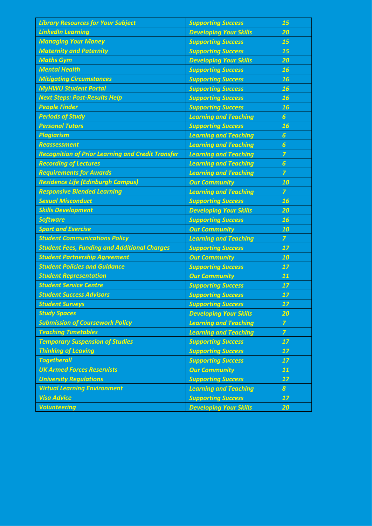| <b>Library Resources for Your Subject</b>                | <b>Supporting Success</b>     | 15               |
|----------------------------------------------------------|-------------------------------|------------------|
| <b>LinkedIn Learning</b>                                 | <b>Developing Your Skills</b> | 20               |
| <b>Managing Your Money</b>                               | <b>Supporting Success</b>     | 15               |
| <b>Maternity and Paternity</b>                           | <b>Supporting Success</b>     | 15               |
| <b>Maths Gym</b>                                         | <b>Developing Your Skills</b> | 20               |
| <b>Mental Health</b>                                     | <b>Supporting Success</b>     | 16               |
| <b>Mitigating Circumstances</b>                          | <b>Supporting Success</b>     | 16               |
| <b>MyHWU Student Portal</b>                              | <b>Supporting Success</b>     | 16               |
| <b>Next Steps: Post-Results Help</b>                     | <b>Supporting Success</b>     | 16               |
| <b>People Finder</b>                                     | <b>Supporting Success</b>     | 16               |
| <b>Periods of Study</b>                                  | <b>Learning and Teaching</b>  | $\overline{6}$   |
| <b>Personal Tutors</b>                                   | <b>Supporting Success</b>     | 16               |
| <b>Plagiarism</b>                                        | <b>Learning and Teaching</b>  | $\boldsymbol{6}$ |
| <b>Reassessment</b>                                      | <b>Learning and Teaching</b>  | $\overline{6}$   |
| <b>Recognition of Prior Learning and Credit Transfer</b> | <b>Learning and Teaching</b>  | $\overline{z}$   |
| <b>Recording of Lectures</b>                             | <b>Learning and Teaching</b>  | $\overline{6}$   |
| <b>Requirements for Awards</b>                           | <b>Learning and Teaching</b>  | $\overline{z}$   |
| <b>Residence Life (Edinburgh Campus)</b>                 | <b>Our Community</b>          | 10               |
| <b>Responsive Blended Learning</b>                       | <b>Learning and Teaching</b>  | $\overline{z}$   |
| <b>Sexual Misconduct</b>                                 | <b>Supporting Success</b>     | 16               |
| <b>Skills Development</b>                                | <b>Developing Your Skills</b> | 20               |
| <b>Software</b>                                          | <b>Supporting Success</b>     | 16               |
|                                                          |                               |                  |
| <b>Sport and Exercise</b>                                | <b>Our Community</b>          | 10               |
| <b>Student Communications Policy</b>                     | <b>Learning and Teaching</b>  | $\overline{z}$   |
| <b>Student Fees, Funding and Additional Charges</b>      | <b>Supporting Success</b>     | 17               |
| <b>Student Partnership Agreement</b>                     | <b>Our Community</b>          | 10               |
| <b>Student Policies and Guidance</b>                     | <b>Supporting Success</b>     | 17               |
| <b>Student Representation</b>                            | <b>Our Community</b>          | 11               |
| <b>Student Service Centre</b>                            | <b>Supporting Success</b>     | 17               |
| <b>Student Success Advisors</b>                          | <b>Supporting Success</b>     | 17               |
| <b>Student Surveys</b>                                   | <b>Supporting Success</b>     | 17               |
| <b>Study Spaces</b>                                      | <b>Developing Your Skills</b> | 20               |
| <b>Submission of Coursework Policy</b>                   | <b>Learning and Teaching</b>  | $\overline{7}$   |
| <b>Teaching Timetables</b>                               | <b>Learning and Teaching</b>  | $\overline{z}$   |
| <b>Temporary Suspension of Studies</b>                   | <b>Supporting Success</b>     | 17               |
| <b>Thinking of Leaving</b>                               | <b>Supporting Success</b>     | 17               |
| <b>Togetherall</b>                                       | <b>Supporting Success</b>     | 17               |
| <b>UK Armed Forces Reservists</b>                        | <b>Our Community</b>          | 11               |
| <b>University Regulations</b>                            | <b>Supporting Success</b>     | 17               |
| <b>Virtual Learning Environment</b>                      | <b>Learning and Teaching</b>  | $\boldsymbol{s}$ |
| <b>Visa Advice</b>                                       | <b>Supporting Success</b>     | 17               |